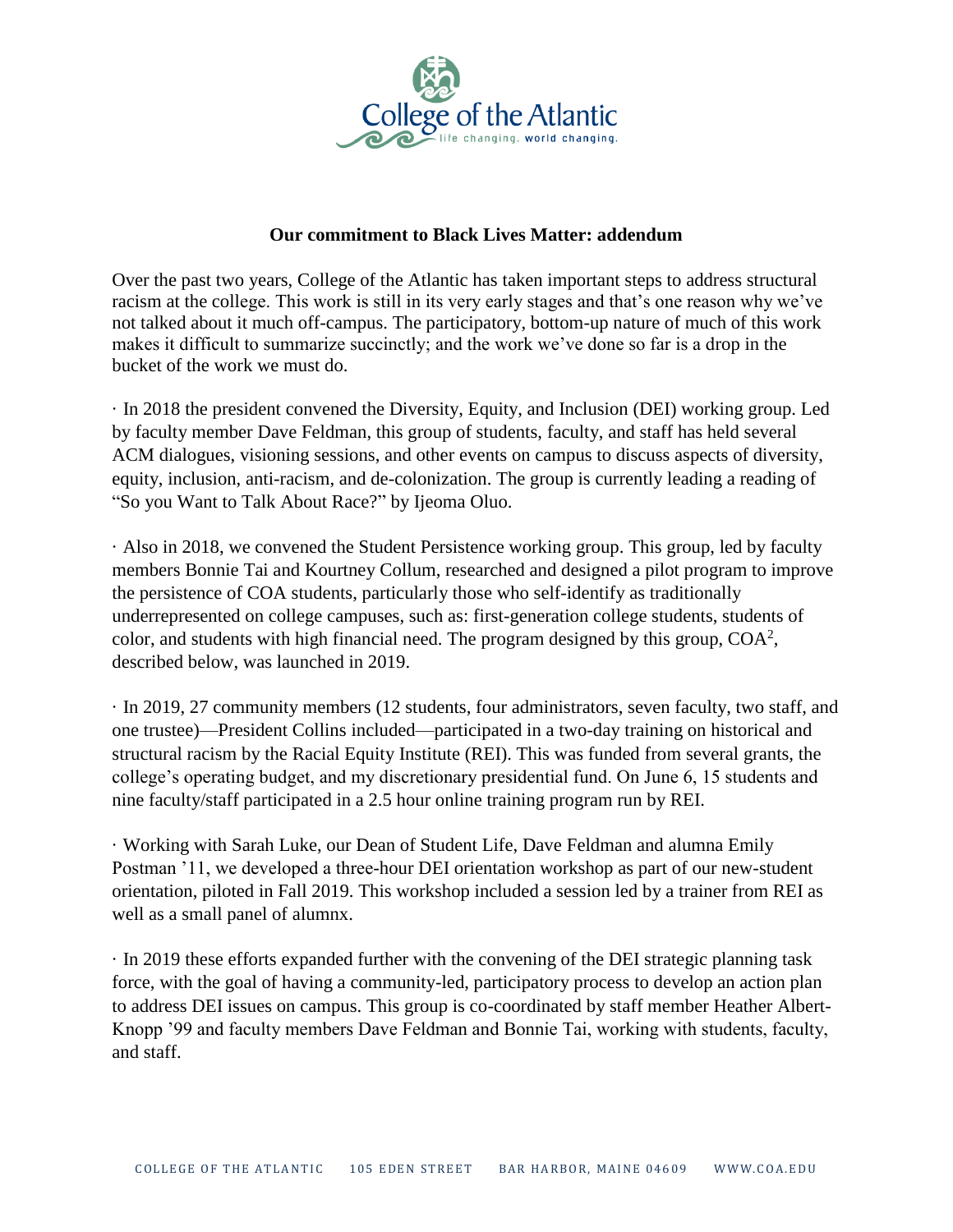

## **Our commitment to Black Lives Matter: addendum**

Over the past two years, College of the Atlantic has taken important steps to address structural racism at the college. This work is still in its very early stages and that's one reason why we've not talked about it much off-campus. The participatory, bottom-up nature of much of this work makes it difficult to summarize succinctly; and the work we've done so far is a drop in the bucket of the work we must do.

· In 2018 the president convened the Diversity, Equity, and Inclusion (DEI) working group. Led by faculty member Dave Feldman, this group of students, faculty, and staff has held several ACM dialogues, visioning sessions, and other events on campus to discuss aspects of diversity, equity, inclusion, anti-racism, and de-colonization. The group is currently leading a reading of "So you Want to Talk About Race?" by Ijeoma Oluo.

· Also in 2018, we convened the Student Persistence working group. This group, led by faculty members Bonnie Tai and Kourtney Collum, researched and designed a pilot program to improve the persistence of COA students, particularly those who self-identify as traditionally underrepresented on college campuses, such as: first-generation college students, students of color, and students with high financial need. The program designed by this group,  $COA<sup>2</sup>$ , described below, was launched in 2019.

· In 2019, 27 community members (12 students, four administrators, seven faculty, two staff, and one trustee)—President Collins included—participated in a two-day training on historical and structural racism by the Racial Equity Institute (REI). This was funded from several grants, the college's operating budget, and my discretionary presidential fund. On June 6, 15 students and nine faculty/staff participated in a 2.5 hour online training program run by REI.

· Working with Sarah Luke, our Dean of Student Life, Dave Feldman and alumna Emily Postman '11, we developed a three-hour DEI orientation workshop as part of our new-student orientation, piloted in Fall 2019. This workshop included a session led by a trainer from REI as well as a small panel of alumnx.

· In 2019 these efforts expanded further with the convening of the DEI strategic planning task force, with the goal of having a community-led, participatory process to develop an action plan to address DEI issues on campus. This group is co-coordinated by staff member Heather Albert-Knopp '99 and faculty members Dave Feldman and Bonnie Tai, working with students, faculty, and staff.